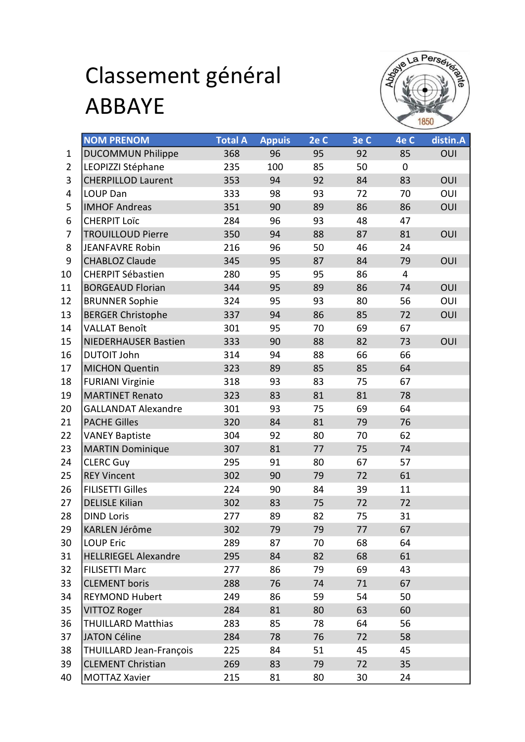## Classement général ABBAYE



|                | <b>NOM PRENOM</b>              | <b>Total A</b> | <b>Appuis</b> | 2e C | 3e C | 4e C           | distin.A   |
|----------------|--------------------------------|----------------|---------------|------|------|----------------|------------|
| 1              | <b>DUCOMMUN Philippe</b>       | 368            | 96            | 95   | 92   | 85             | OUI        |
| $\overline{2}$ | LEOPIZZI Stéphane              | 235            | 100           | 85   | 50   | 0              |            |
| 3              | <b>CHERPILLOD Laurent</b>      | 353            | 94            | 92   | 84   | 83             | OUI        |
| 4              | LOUP Dan                       | 333            | 98            | 93   | 72   | 70             | OUI        |
| 5              | <b>IMHOF Andreas</b>           | 351            | 90            | 89   | 86   | 86             | OUI        |
| 6              | <b>CHERPIT LOÏC</b>            | 284            | 96            | 93   | 48   | 47             |            |
| 7              | <b>TROUILLOUD Pierre</b>       | 350            | 94            | 88   | 87   | 81             | OUI        |
| 8              | <b>JEANFAVRE Robin</b>         | 216            | 96            | 50   | 46   | 24             |            |
| 9              | <b>CHABLOZ Claude</b>          | 345            | 95            | 87   | 84   | 79             | OUI        |
| 10             | <b>CHERPIT Sébastien</b>       | 280            | 95            | 95   | 86   | $\overline{4}$ |            |
| 11             | <b>BORGEAUD Florian</b>        | 344            | 95            | 89   | 86   | 74             | OUI        |
| 12             | <b>BRUNNER Sophie</b>          | 324            | 95            | 93   | 80   | 56             | OUI        |
| 13             | <b>BERGER Christophe</b>       | 337            | 94            | 86   | 85   | 72             | <b>OUI</b> |
| 14             | <b>VALLAT Benoît</b>           | 301            | 95            | 70   | 69   | 67             |            |
| 15             | <b>NIEDERHAUSER Bastien</b>    | 333            | 90            | 88   | 82   | 73             | OUI        |
| 16             | <b>DUTOIT John</b>             | 314            | 94            | 88   | 66   | 66             |            |
| 17             | <b>MICHON Quentin</b>          | 323            | 89            | 85   | 85   | 64             |            |
| 18             | <b>FURIANI Virginie</b>        | 318            | 93            | 83   | 75   | 67             |            |
| 19             | <b>MARTINET Renato</b>         | 323            | 83            | 81   | 81   | 78             |            |
| 20             | <b>GALLANDAT Alexandre</b>     | 301            | 93            | 75   | 69   | 64             |            |
| 21             | <b>PACHE Gilles</b>            | 320            | 84            | 81   | 79   | 76             |            |
| 22             | <b>VANEY Baptiste</b>          | 304            | 92            | 80   | 70   | 62             |            |
| 23             | <b>MARTIN Dominique</b>        | 307            | 81            | 77   | 75   | 74             |            |
| 24             | <b>CLERC Guy</b>               | 295            | 91            | 80   | 67   | 57             |            |
| 25             | <b>REY Vincent</b>             | 302            | 90            | 79   | 72   | 61             |            |
| 26             | <b>FILISETTI Gilles</b>        | 224            | 90            | 84   | 39   | 11             |            |
| 27             | <b>DELISLE Kilian</b>          | 302            | 83            | 75   | 72   | 72             |            |
| 28             | <b>DIND Loris</b>              | 277            | 89            | 82   | 75   | 31             |            |
| 29             | KARLEN Jérôme                  | 302            | 79            | 79   | 77   | 67             |            |
| 30             | <b>LOUP Eric</b>               | 289            | 87            | 70   | 68   | 64             |            |
| 31             | <b>HELLRIEGEL Alexandre</b>    | 295            | 84            | 82   | 68   | 61             |            |
| 32             | <b>FILISETTI Marc</b>          | 277            | 86            | 79   | 69   | 43             |            |
| 33             | <b>CLEMENT</b> boris           | 288            | 76            | 74   | 71   | 67             |            |
| 34             | <b>REYMOND Hubert</b>          | 249            | 86            | 59   | 54   | 50             |            |
| 35             | VITTOZ Roger                   | 284            | 81            | 80   | 63   | 60             |            |
| 36             | <b>THUILLARD Matthias</b>      | 283            | 85            | 78   | 64   | 56             |            |
| 37             | <b>JATON Céline</b>            | 284            | 78            | 76   | 72   | 58             |            |
| 38             | <b>THUILLARD Jean-François</b> | 225            | 84            | 51   | 45   | 45             |            |
| 39             | <b>CLEMENT Christian</b>       | 269            | 83            | 79   | 72   | 35             |            |
| 40             | <b>MOTTAZ Xavier</b>           | 215            | 81            | 80   | 30   | 24             |            |